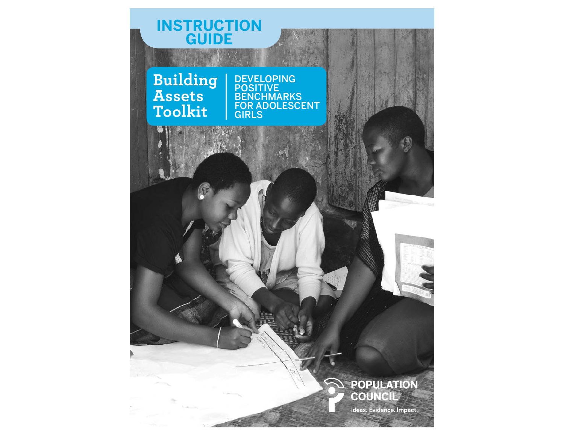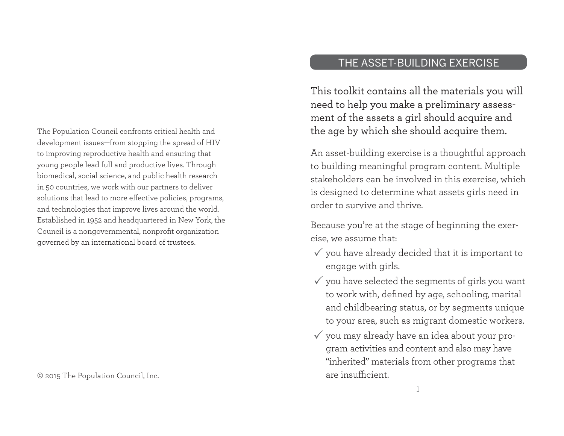The Population Council confronts critical health and development issues—from stopping the spread of HIV to improving reproductive health and ensuring that young people lead full and productive lives. Through biomedical, social science, and public health research in 50 countries, we work with our partners to deliver solutions that lead to more effective policies, programs, and technologies that improve lives around the world. Established in 1952 and headquartered in New York, the Council is a nongovernmental, nonprofit organization governed by an international board of trustees.

© 2015 The Population Council, Inc.

# THE ASSET-BUILDING EXERCISE

This toolkit contains all the materials you will need to help you make a preliminary assessment of the assets a girl should acquire and the age by which she should acquire them.

An asset-building exercise is a thoughtful approach to building meaningful program content. Multiple stakeholders can be involved in this exercise, which is designed to determine what assets girls need in order to survive and thrive.

Because you're at the stage of beginning the exercise, we assume that:

- $\checkmark$  you have already decided that it is important to engage with girls.
- $\checkmark$  you have selected the segments of girls you want to work with, defined by age, schooling, marital and childbearing status, or by segments unique to your area, such as migrant domestic workers.
- $\checkmark$  you may already have an idea about your program activities and content and also may have "inherited" materials from other programs that are insufficient.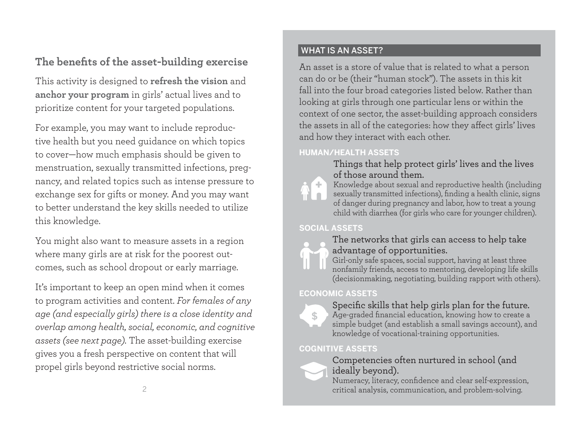# The benefits of the asset-building exercise

This activity is designed to **refresh the vision** and **anchor your program** in girls' actual lives and to prioritize content for your targeted populations.

For example, you may want to include reproductive health but you need guidance on which topics to cover—how much emphasis should be given to menstruation, sexually transmitted infections, pregnancy, and related topics such as intense pressure to exchange sex for gifts or money. And you may want to better understand the key skills needed to utilize this knowledge.

You might also want to measure assets in a region where many girls are at risk for the poorest outcomes, such as school dropout or early marriage.

It's important to keep an open mind when it comes to program activities and content. *For females of any age (and especially girls) there is a close identity and overlap among health, social, economic, and cognitive assets (see next page).* The asset-building exercise <sup>g</sup>ives you a fresh perspective on content that will propel girls beyond restrictive social norms.

## WHAT IS AN ASSET?

An asset is a store of value that is related to what a person can do or be (their "human stock"). The assets in this kit fall into the four broad categories listed below. Rather than looking at girls through one particular lens or within the context of one sector, the asset-building approach considers the assets in all of the categories: how they affect girls' lives and how they interact with each other.

## **HUMAN/HEALTH ASSETS**



Things that help protect girls' lives and the lives of those around them.

Knowledge about sexual and reproductive health (including sexually transmitted infections), finding a health clinic, signs of danger during pregnancy and labor, how to treat a young child with diarrhea (for girls who care for younger children).

## **SOCIAL ASSETS**



## The networks that girls can access to help take advantage of opportunities.

Girl-only safe spaces, social support, having at least three nonfamily friends, access to mentoring, developing life skills (decisionmaking, negotiating, building rapport with others).

## **ECONOMIC ASSETS**



#### Specific skills that help girls plan for the future. Age-graded financial education, knowing how to create a simple budget (and establish a small savings account), and knowledge of vocational-training opportunities.

## **COGNITIVE ASSETS**



## Competencies often nurtured in school (and ideally beyond).

3 critical analysis, communication, and problem-solving. Numeracy, literacy, confidence and clear self-expression,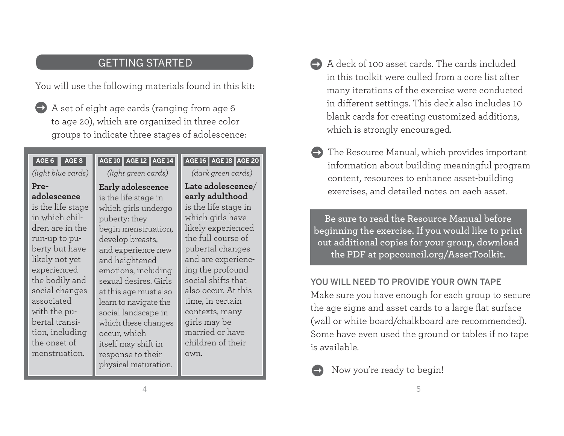# GETTING STARTED

You will use the following materials found in this kit:

A set of eight age cards (ranging from age 6 to age 20), which are organized in three color groups to indicate three stages of adolescence:  $\rightarrow$ 

#### **AGE 6 AGE 8 AGE 10**

#### *(light blue cards)*

#### **Preadolescence**

is the life stage in which children are in the run-up to puberty but have likely not yet experienced the bodily and social changes associated with the pubertal transition, including the onset of menstruation.

# **AGE 12 AGE 14 AGE 16 AGE 18 AGE 20**

*(light green cards)*

#### **Early adolescence**

is the life stage in which girls undergo puberty: they begin menstruation, develop breasts, and experience new and heightened emotions, including sexual desires. Girls at this age must also learn to navigate the social landscape in which these changes occur, which itself may shift in response to their <sup>p</sup>hysical maturation.

*(dark green cards)* **Late adolescence**/ **early adulthood** is the life stage in which girls have likely experienced the full course of pubertal changes and are experiencing the profound social shifts that also occur. At this time, in certain contexts, many <sup>g</sup>irls may be married or have children of their own.

- $\rightarrow$  A deck of 100 asset cards. The cards included in this toolkit were culled from a core list after many iterations of the exercise were conducted in different settings. This deck also includes 10 blank cards for creating customized additions, which is strongly encouraged.
- $\rightarrow$  The Resource Manual, which provides important information about building meaningful program content, resources to enhance asset-building exercises, and detailed notes on each asset.

**Be sure to read the Resource Manual before beginning the exercise. If you would like to print out additional copies for your group, download the PDF at popcouncil.org/AssetToolkit.**

### YOU WILL NEED TO PROVIDE YOUR OWN TAPE

Make sure you have enough for each group to secure the age signs and asset cards to a large flat surface (wall or white board/chalkboard are recommended). Some have even used the ground or tables if no tape is available.

 Now you're ready to begin!  $\rightarrow$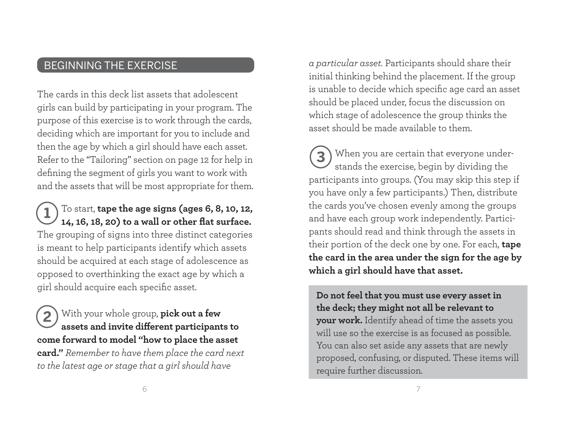# BEGINNING THE EXERCISE

The cards in this deck list assets that adolescent <sup>g</sup>irls can build by participating in your program. The purpose of this exercise is to work through the cards, deciding which are important for you to include and then the age by which a girl should have each asset. Refer to the "Tailoring" section on page 12 for help in defining the segment of girls you want to work with and the assets that will be most appropriate for them.

## To start, **tape the age signs (ages 6, 8, 10, 12,**  14, 16, 18, 20) to a wall or other flat surface. The grouping of signs into three distinct categories is meant to help participants identify which assets should be acquired at each stage of adolescence as opposed to overthinking the exact age by which a girl should acquire each specific asset. **1**

With your whole group, **pick out a few**  assets and invite different participants to **come forward to model "how to place the asset card."** *Remember to have them place the card next to the latest age or stage that a girl should have*  **2**

*a particular asset.* Participants should share their initial thinking behind the placement. If the group is unable to decide which specific age card an asset should be placed under, focus the discussion on which stage of adolescence the group thinks the asset should be made available to them.

When you are certain that everyone under-**3**stands the exercise, begin by dividing the participants into groups. (You may skip this step if you have only a few participants.) Then, distribute the cards you've chosen evenly among the groups and have each group work independently. Participants should read and think through the assets in their portion of the deck one by one. For each, **tape the card in the area under the sign for the age by which a girl should have that asset.** 

**Do not feel that you must use every asset in the deck; they might not all be relevant to your work.** Identify ahead of time the assets you will use so the exercise is as focused as possible. You can also set aside any assets that are newly proposed, confusing, or disputed. These items will require further discussion.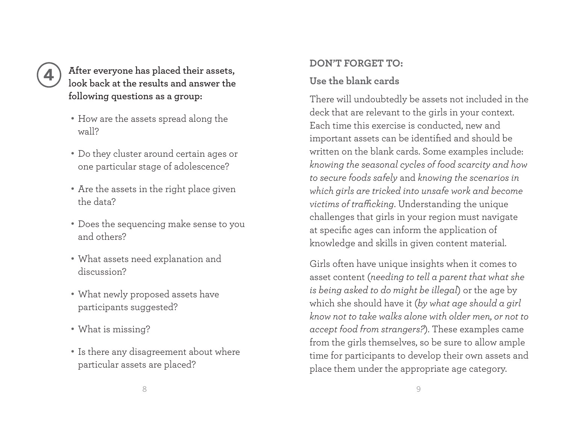# **4**

# **After everyone has placed their assets, look back at the results and answer the following questions as a group:**

- How are the assets spread along the wall?
- Do they cluster around certain ages or one particular stage of adolescence?
- Are the assets in the right place given the data?
- Does the sequencing make sense to you and others?
- What assets need explanation and discussion?
- What newly proposed assets have participants suggested?
- What is missing?
- Is there any disagreement about where particular assets are placed?

# **DON'T FORGET TO:**

# **Use the blank cards**

There will undoubtedly be assets not included in the deck that are relevant to the girls in your context. Each time this exercise is conducted, new and important assets can be identified and should be written on the blank cards. Some examples include: *knowing the seasonal cycles of food scarcity and how to secure foods safely* and *knowing the scenarios in which girls are tricked into unsafe work and become victims of trafficking*. Understanding the unique challenges that girls in your region must navigate at specific ages can inform the application of knowledge and skills in given content material.

Girls often have unique insights when it comes to asset content (*needing to tell a parent that what she is being asked to do might be illegal*) or the age by which she should have it (*by what age should a girl know not to take walks alone with older men, or not to accept food from strangers?*). These examples came from the girls themselves, so be sure to allow ample time for participants to develop their own assets and <sup>p</sup>lace them under the appropriate age category.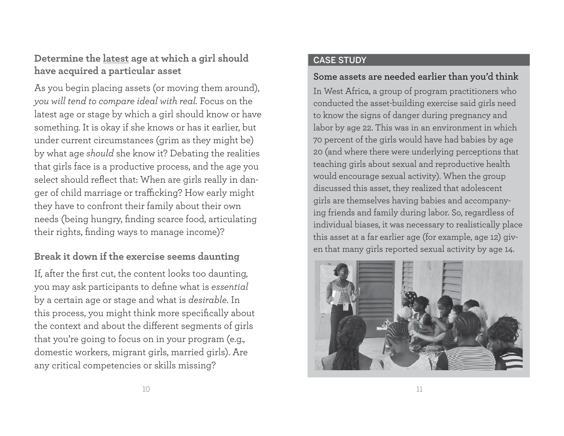# **Determine the latest age at which a girl should have acquired a particular asset**

As you begin placing assets (or moving them around), *you will tend to compare ideal with real.* Focus on the latest age or stage by which a girl should know or have something. It is okay if she knows or has it earlier, but under current circumstances (grim as they might be) by what age *should* she know it? Debating the realities that girls face is a productive process, and the age you select should reflect that: When are girls really in danger of child marriage or trafficking? How early might they have to confront their family about their own needs (being hungry, finding scarce food, articulating their rights, finding ways to manage income)?

# **Break it down if the exercise seems daunting**

If, after the first cut, the content looks too daunting, you may ask participants to define what is *essential* by a certain age or stage and what is *desirable*. In this process, you might think more specifically about the context and about the different segments of girls that you're going to focus on in your program (e.g., domestic workers, migrant girls, married girls). Are any critical competencies or skills missing?

#### CASE STUDY

## **Some assets are needed earlier than you'd think**

In West Africa, a group of program practitioners who conducted the asset-building exercise said girls need to know the signs of danger during pregnancy and labor by age 22. This was in an environment in which 70 percent of the girls would have had babies by age 20 (and where there were underlying perceptions that teaching girls about sexual and reproductive health would encourage sexual activity). When the group discussed this asset, they realized that adolescent girls are themselves having babies and accompanying friends and family during labor. So, regardless of individual biases, it was necessary to realistically place this asset at a far earlier age (for example, age 12) given that many girls reported sexual activity by age 14.

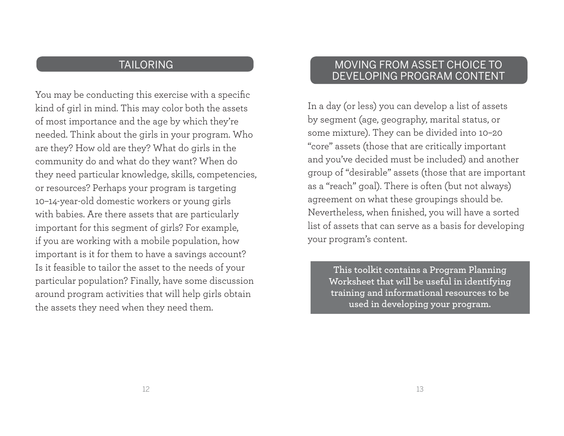# TAILORING

You may be conducting this exercise with a specific kind of girl in mind. This may color both the assets of most importance and the age by which they're needed. Think about the girls in your program. Who are they? How old are they? What do girls in the community do and what do they want? When do they need particular knowledge, skills, competencies, or resources? Perhaps your program is targeting 10–14-year-old domestic workers or young girls with babies. Are there assets that are particularly important for this segment of girls? For example, if you are working with a mobile population, how important is it for them to have a savings account? Is it feasible to tailor the asset to the needs of your particular population? Finally, have some discussion around program activities that will help girls obtain the assets they need when they need them.

# MOVING FROM ASSET CHOICE TO DEVELOPING PROGRAM CONTENT

In a day (or less) you can develop a list of assets by segment (age, geography, marital status, or some mixture). They can be divided into 10–20 "core" assets (those that are critically important and you've decided must be included) and another group of "desirable" assets (those that are important as a "reach" goal). There is often (but not always) agreement on what these groupings should be. Nevertheless, when finished, you will have a sorted list of assets that can serve as a basis for developing your program's content.

**This toolkit contains a Program Planning Worksheet that will be useful in identifying training and informational resources to be used in developing your program.**